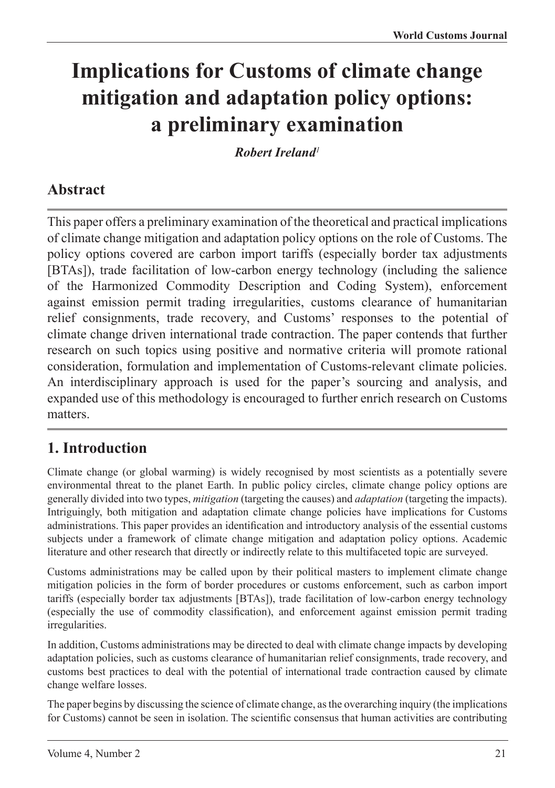# **Implications for Customs of climate change mitigation and adaptation policy options: a preliminary examination**

*Robert Ireland<sup>1</sup>*

# **Abstract**

This paper offers a preliminary examination of the theoretical and practical implications of climate change mitigation and adaptation policy options on the role of Customs. The policy options covered are carbon import tariffs (especially border tax adjustments [BTAs]), trade facilitation of low-carbon energy technology (including the salience of the Harmonized Commodity Description and Coding System), enforcement against emission permit trading irregularities, customs clearance of humanitarian relief consignments, trade recovery, and Customs' responses to the potential of climate change driven international trade contraction. The paper contends that further research on such topics using positive and normative criteria will promote rational consideration, formulation and implementation of Customs-relevant climate policies. An interdisciplinary approach is used for the paper's sourcing and analysis, and expanded use of this methodology is encouraged to further enrich research on Customs matters.

# **1. Introduction**

Climate change (or global warming) is widely recognised by most scientists as a potentially severe environmental threat to the planet Earth. In public policy circles, climate change policy options are generally divided into two types, *mitigation* (targeting the causes) and *adaptation* (targeting the impacts). Intriguingly, both mitigation and adaptation climate change policies have implications for Customs administrations. This paper provides an identification and introductory analysis of the essential customs subjects under a framework of climate change mitigation and adaptation policy options. Academic literature and other research that directly or indirectly relate to this multifaceted topic are surveyed.

Customs administrations may be called upon by their political masters to implement climate change mitigation policies in the form of border procedures or customs enforcement, such as carbon import tariffs (especially border tax adjustments [BTAs]), trade facilitation of low-carbon energy technology (especially the use of commodity classification), and enforcement against emission permit trading irregularities.

In addition, Customs administrations may be directed to deal with climate change impacts by developing adaptation policies, such as customs clearance of humanitarian relief consignments, trade recovery, and customs best practices to deal with the potential of international trade contraction caused by climate change welfare losses.

The paper begins by discussing the science of climate change, as the overarching inquiry (the implications for Customs) cannot be seen in isolation. The scientific consensus that human activities are contributing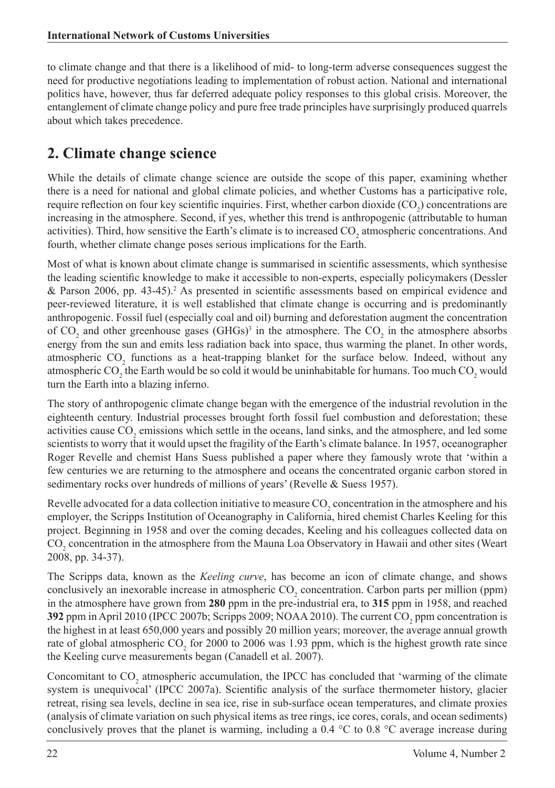to climate change and that there is a likelihood of mid- to long-term adverse consequences suggest the need for productive negotiations leading to implementation of robust action. National and international politics have, however, thus far deferred adequate policy responses to this global crisis. Moreover, the entanglement of climate change policy and pure free trade principles have surprisingly produced quarrels about which takes precedence.

### **2. Climate change science**

While the details of climate change science are outside the scope of this paper, examining whether there is a need for national and global climate policies, and whether Customs has a participative role, require reflection on four key scientific inquiries. First, whether carbon dioxide  $(CO_2)$  concentrations are increasing in the atmosphere. Second, if yes, whether this trend is anthropogenic (attributable to human activities). Third, how sensitive the Earth's climate is to increased  $CO_2$  atmospheric concentrations. And fourth, whether climate change poses serious implications for the Earth.

Most of what is known about climate change is summarised in scientific assessments, which synthesise the leading scientific knowledge to make it accessible to non-experts, especially policymakers (Dessler & Parson 2006, pp. 43-45).<sup>2</sup> As presented in scientific assessments based on empirical evidence and peer-reviewed literature, it is well established that climate change is occurring and is predominantly anthropogenic. Fossil fuel (especially coal and oil) burning and deforestation augment the concentration of  $CO_2$  and other greenhouse gases  $(GHGs)^3$  in the atmosphere. The  $CO_2$  in the atmosphere absorbs energy from the sun and emits less radiation back into space, thus warming the planet. In other words, atmospheric  $CO_2$  functions as a heat-trapping blanket for the surface below. Indeed, without any atmospheric CO<sub>2</sub> the Earth would be so cold it would be uninhabitable for humans. Too much CO<sub>2</sub> would turn the Earth into a blazing inferno.

The story of anthropogenic climate change began with the emergence of the industrial revolution in the eighteenth century. Industrial processes brought forth fossil fuel combustion and deforestation; these activities cause  $CO_2$  emissions which settle in the oceans, land sinks, and the atmosphere, and led some scientists to worry that it would upset the fragility of the Earth's climate balance. In 1957, oceanographer Roger Revelle and chemist Hans Suess published a paper where they famously wrote that 'within a few centuries we are returning to the atmosphere and oceans the concentrated organic carbon stored in sedimentary rocks over hundreds of millions of years' (Revelle & Suess 1957).

Revelle advocated for a data collection initiative to measure  $\rm CO_2$  concentration in the atmosphere and his employer, the Scripps Institution of Oceanography in California, hired chemist Charles Keeling for this project. Beginning in 1958 and over the coming decades, Keeling and his colleagues collected data on  $CO<sub>2</sub>$  concentration in the atmosphere from the Mauna Loa Observatory in Hawaii and other sites (Weart 2008, pp. 34-37).

The Scripps data, known as the *Keeling curve*, has become an icon of climate change, and shows conclusively an inexorable increase in atmospheric  $CO_2$  concentration. Carbon parts per million (ppm) in the atmosphere have grown from **280** ppm in the pre-industrial era, to **315** ppm in 1958, and reached **392** ppm in April 2010 (IPCC 2007b; Scripps 2009; NOAA 2010). The current  $CO<sub>2</sub>$  ppm concentration is the highest in at least 650,000 years and possibly 20 million years; moreover, the average annual growth rate of global atmospheric  $CO_2$  for 2000 to 2006 was 1.93 ppm, which is the highest growth rate since the Keeling curve measurements began (Canadell et al. 2007).

Concomitant to  $CO_2$  atmospheric accumulation, the IPCC has concluded that 'warming of the climate system is unequivocal' (IPCC 2007a). Scientific analysis of the surface thermometer history, glacier retreat, rising sea levels, decline in sea ice, rise in sub-surface ocean temperatures, and climate proxies (analysis of climate variation on such physical items as tree rings, ice cores, corals, and ocean sediments) conclusively proves that the planet is warming, including a 0.4  $\degree$ C to 0.8  $\degree$ C average increase during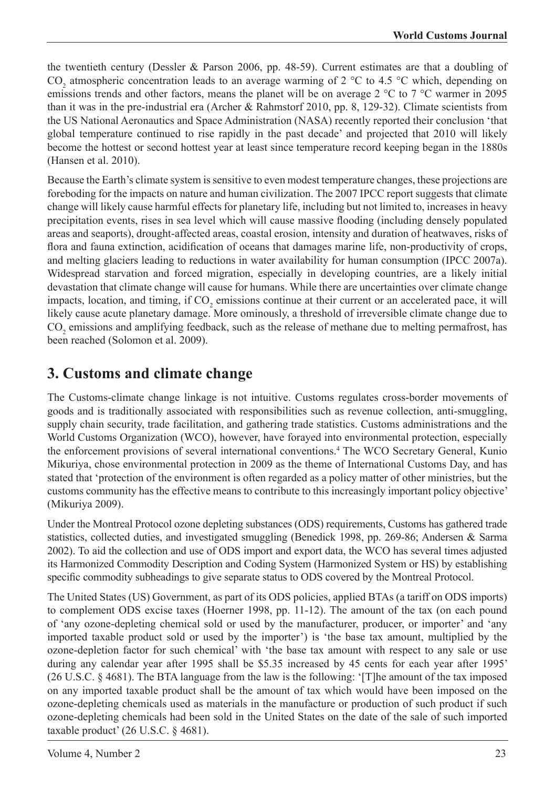the twentieth century (Dessler & Parson 2006, pp. 48-59). Current estimates are that a doubling of  $CO_2$  atmospheric concentration leads to an average warming of 2 °C to 4.5 °C which, depending on emissions trends and other factors, means the planet will be on average 2 °C to 7 °C warmer in 2095 than it was in the pre-industrial era (Archer & Rahmstorf 2010, pp. 8, 129-32). Climate scientists from the US National Aeronautics and Space Administration (NASA) recently reported their conclusion 'that global temperature continued to rise rapidly in the past decade' and projected that 2010 will likely become the hottest or second hottest year at least since temperature record keeping began in the 1880s (Hansen et al. 2010).

Because the Earth's climate system is sensitive to even modest temperature changes, these projections are foreboding for the impacts on nature and human civilization. The 2007 IPCC report suggests that climate change will likely cause harmful effects for planetary life, including but not limited to, increases in heavy precipitation events, rises in sea level which will cause massive flooding (including densely populated areas and seaports), drought-affected areas, coastal erosion, intensity and duration of heatwaves, risks of flora and fauna extinction, acidification of oceans that damages marine life, non-productivity of crops, and melting glaciers leading to reductions in water availability for human consumption (IPCC 2007a). Widespread starvation and forced migration, especially in developing countries, are a likely initial devastation that climate change will cause for humans. While there are uncertainties over climate change impacts, location, and timing, if  $CO_2$  emissions continue at their current or an accelerated pace, it will likely cause acute planetary damage. More ominously, a threshold of irreversible climate change due to  $CO<sub>2</sub>$  emissions and amplifying feedback, such as the release of methane due to melting permafrost, has been reached (Solomon et al. 2009).

## **3. Customs and climate change**

The Customs-climate change linkage is not intuitive. Customs regulates cross-border movements of goods and is traditionally associated with responsibilities such as revenue collection, anti-smuggling, supply chain security, trade facilitation, and gathering trade statistics. Customs administrations and the World Customs Organization (WCO), however, have forayed into environmental protection, especially the enforcement provisions of several international conventions.4 The WCO Secretary General, Kunio Mikuriya, chose environmental protection in 2009 as the theme of International Customs Day, and has stated that 'protection of the environment is often regarded as a policy matter of other ministries, but the customs community has the effective means to contribute to this increasingly important policy objective' (Mikuriya 2009).

Under the Montreal Protocol ozone depleting substances (ODS) requirements, Customs has gathered trade statistics, collected duties, and investigated smuggling (Benedick 1998, pp. 269-86; Andersen & Sarma 2002). To aid the collection and use of ODS import and export data, the WCO has several times adjusted its Harmonized Commodity Description and Coding System (Harmonized System or HS) by establishing specific commodity subheadings to give separate status to ODS covered by the Montreal Protocol.

The United States (US) Government, as part of its ODS policies, applied BTAs (a tariff on ODS imports) to complement ODS excise taxes (Hoerner 1998, pp. 11-12). The amount of the tax (on each pound of 'any ozone-depleting chemical sold or used by the manufacturer, producer, or importer' and 'any imported taxable product sold or used by the importer') is 'the base tax amount, multiplied by the ozone-depletion factor for such chemical' with 'the base tax amount with respect to any sale or use during any calendar year after 1995 shall be \$5.35 increased by 45 cents for each year after 1995' (26 U.S.C. § 4681). The BTA language from the law is the following: '[T]he amount of the tax imposed on any imported taxable product shall be the amount of tax which would have been imposed on the ozone-depleting chemicals used as materials in the manufacture or production of such product if such ozone-depleting chemicals had been sold in the United States on the date of the sale of such imported taxable product' (26 U.S.C. § 4681).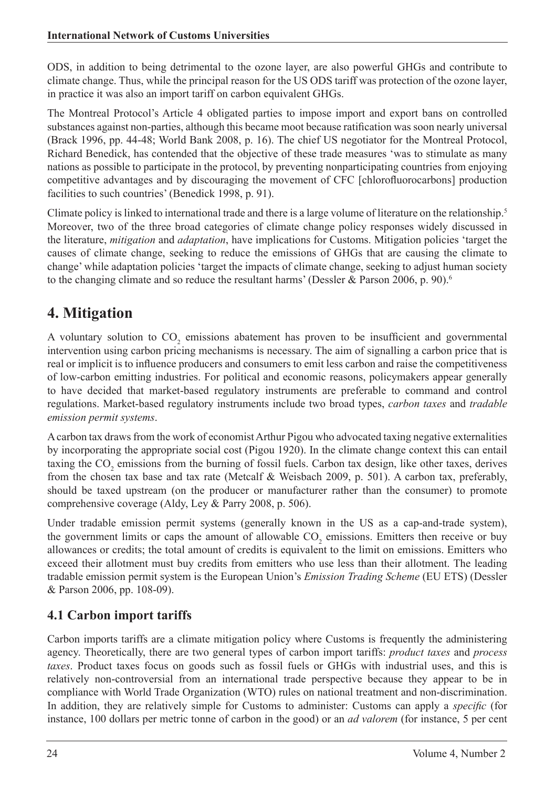ODS, in addition to being detrimental to the ozone layer, are also powerful GHGs and contribute to climate change. Thus, while the principal reason for the US ODS tariff was protection of the ozone layer, in practice it was also an import tariff on carbon equivalent GHGs.

The Montreal Protocol's Article 4 obligated parties to impose import and export bans on controlled substances against non-parties, although this became moot because ratification was soon nearly universal (Brack 1996, pp. 44-48; World Bank 2008, p. 16). The chief US negotiator for the Montreal Protocol, Richard Benedick, has contended that the objective of these trade measures 'was to stimulate as many nations as possible to participate in the protocol, by preventing nonparticipating countries from enjoying competitive advantages and by discouraging the movement of CFC [chlorofluorocarbons] production facilities to such countries' (Benedick 1998, p. 91).

Climate policy is linked to international trade and there is a large volume of literature on the relationship.<sup>5</sup> Moreover, two of the three broad categories of climate change policy responses widely discussed in the literature, *mitigation* and *adaptation*, have implications for Customs. Mitigation policies 'target the causes of climate change, seeking to reduce the emissions of GHGs that are causing the climate to change' while adaptation policies 'target the impacts of climate change, seeking to adjust human society to the changing climate and so reduce the resultant harms' (Dessler & Parson 2006, p. 90).<sup>6</sup>

# **4. Mitigation**

A voluntary solution to  $CO_2$  emissions abatement has proven to be insufficient and governmental intervention using carbon pricing mechanisms is necessary. The aim of signalling a carbon price that is real or implicit is to influence producers and consumers to emit less carbon and raise the competitiveness of low-carbon emitting industries. For political and economic reasons, policymakers appear generally to have decided that market-based regulatory instruments are preferable to command and control regulations. Market-based regulatory instruments include two broad types, *carbon taxes* and *tradable emission permit systems*.

A carbon tax draws from the work of economist Arthur Pigou who advocated taxing negative externalities by incorporating the appropriate social cost (Pigou 1920). In the climate change context this can entail taxing the  $CO_2$  emissions from the burning of fossil fuels. Carbon tax design, like other taxes, derives from the chosen tax base and tax rate (Metcalf & Weisbach 2009, p. 501). A carbon tax, preferably, should be taxed upstream (on the producer or manufacturer rather than the consumer) to promote comprehensive coverage (Aldy, Ley & Parry 2008, p. 506).

Under tradable emission permit systems (generally known in the US as a cap-and-trade system), the government limits or caps the amount of allowable  $CO<sub>2</sub>$  emissions. Emitters then receive or buy allowances or credits; the total amount of credits is equivalent to the limit on emissions. Emitters who exceed their allotment must buy credits from emitters who use less than their allotment. The leading tradable emission permit system is the European Union's *Emission Trading Scheme* (EU ETS) (Dessler & Parson 2006, pp. 108-09).

#### **4.1 Carbon import tariffs**

Carbon imports tariffs are a climate mitigation policy where Customs is frequently the administering agency. Theoretically, there are two general types of carbon import tariffs: *product taxes* and *process taxes*. Product taxes focus on goods such as fossil fuels or GHGs with industrial uses, and this is relatively non-controversial from an international trade perspective because they appear to be in compliance with World Trade Organization (WTO) rules on national treatment and non-discrimination. In addition, they are relatively simple for Customs to administer: Customs can apply a *specific* (for instance, 100 dollars per metric tonne of carbon in the good) or an *ad valorem* (for instance, 5 per cent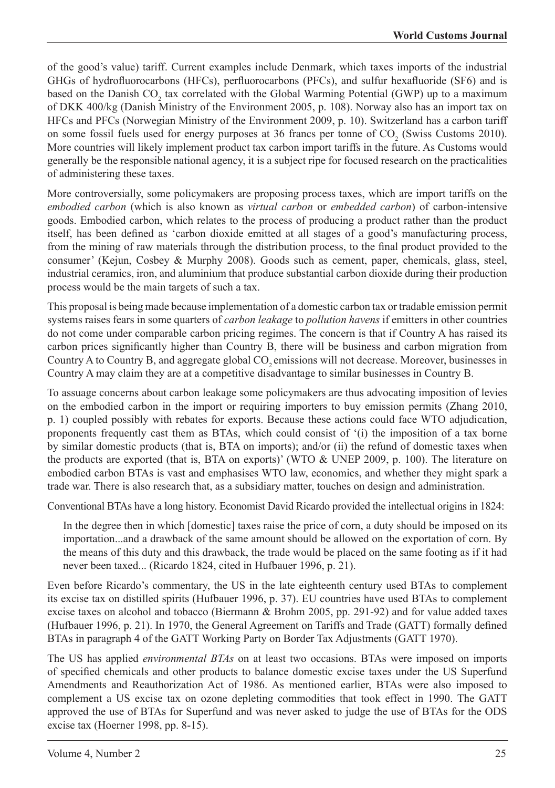of the good's value) tariff. Current examples include Denmark, which taxes imports of the industrial GHGs of hydrofluorocarbons (HFCs), perfluorocarbons (PFCs), and sulfur hexafluoride (SF6) and is based on the Danish  $CO_2$  tax correlated with the Global Warming Potential (GWP) up to a maximum of DKK 400/kg (Danish Ministry of the Environment 2005, p. 108). Norway also has an import tax on HFCs and PFCs (Norwegian Ministry of the Environment 2009, p. 10). Switzerland has a carbon tariff on some fossil fuels used for energy purposes at 36 francs per tonne of  $CO<sub>2</sub>$  (Swiss Customs 2010). More countries will likely implement product tax carbon import tariffs in the future. As Customs would generally be the responsible national agency, it is a subject ripe for focused research on the practicalities of administering these taxes.

More controversially, some policymakers are proposing process taxes, which are import tariffs on the *embodied carbon* (which is also known as *virtual carbon* or *embedded carbon*) of carbon-intensive goods. Embodied carbon, which relates to the process of producing a product rather than the product itself, has been defined as 'carbon dioxide emitted at all stages of a good's manufacturing process, from the mining of raw materials through the distribution process, to the final product provided to the consumer' (Kejun, Cosbey & Murphy 2008). Goods such as cement, paper, chemicals, glass, steel, industrial ceramics, iron, and aluminium that produce substantial carbon dioxide during their production process would be the main targets of such a tax.

This proposal is being made because implementation of a domestic carbon tax or tradable emission permit systems raises fears in some quarters of *carbon leakage* to *pollution havens* if emitters in other countries do not come under comparable carbon pricing regimes. The concern is that if Country A has raised its carbon prices significantly higher than Country B, there will be business and carbon migration from Country A to Country B, and aggregate global CO<sub>2</sub> emissions will not decrease. Moreover, businesses in Country A may claim they are at a competitive disadvantage to similar businesses in Country B.

To assuage concerns about carbon leakage some policymakers are thus advocating imposition of levies on the embodied carbon in the import or requiring importers to buy emission permits (Zhang 2010, p. 1) coupled possibly with rebates for exports. Because these actions could face WTO adjudication, proponents frequently cast them as BTAs, which could consist of '(i) the imposition of a tax borne by similar domestic products (that is, BTA on imports); and/or (ii) the refund of domestic taxes when the products are exported (that is, BTA on exports)' (WTO & UNEP 2009, p. 100). The literature on embodied carbon BTAs is vast and emphasises WTO law, economics, and whether they might spark a trade war. There is also research that, as a subsidiary matter, touches on design and administration.

Conventional BTAs have a long history. Economist David Ricardo provided the intellectual origins in 1824:

In the degree then in which [domestic] taxes raise the price of corn, a duty should be imposed on its importation...and a drawback of the same amount should be allowed on the exportation of corn. By the means of this duty and this drawback, the trade would be placed on the same footing as if it had never been taxed... (Ricardo 1824, cited in Hufbauer 1996, p. 21).

Even before Ricardo's commentary, the US in the late eighteenth century used BTAs to complement its excise tax on distilled spirits (Hufbauer 1996, p. 37). EU countries have used BTAs to complement excise taxes on alcohol and tobacco (Biermann & Brohm 2005, pp. 291-92) and for value added taxes (Hufbauer 1996, p. 21). In 1970, the General Agreement on Tariffs and Trade (GATT) formally defined BTAs in paragraph 4 of the GATT Working Party on Border Tax Adjustments (GATT 1970).

The US has applied *environmental BTAs* on at least two occasions. BTAs were imposed on imports of specified chemicals and other products to balance domestic excise taxes under the US Superfund Amendments and Reauthorization Act of 1986. As mentioned earlier, BTAs were also imposed to complement a US excise tax on ozone depleting commodities that took effect in 1990. The GATT approved the use of BTAs for Superfund and was never asked to judge the use of BTAs for the ODS excise tax (Hoerner 1998, pp. 8-15).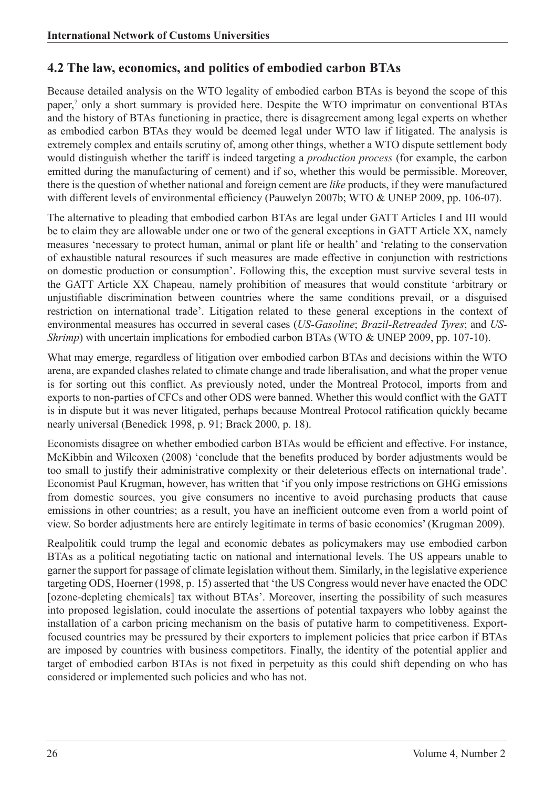#### **4.2 The law, economics, and politics of embodied carbon BTAs**

Because detailed analysis on the WTO legality of embodied carbon BTAs is beyond the scope of this paper,<sup>7</sup> only a short summary is provided here. Despite the WTO imprimatur on conventional BTAs and the history of BTAs functioning in practice, there is disagreement among legal experts on whether as embodied carbon BTAs they would be deemed legal under WTO law if litigated. The analysis is extremely complex and entails scrutiny of, among other things, whether a WTO dispute settlement body would distinguish whether the tariff is indeed targeting a *production process* (for example, the carbon emitted during the manufacturing of cement) and if so, whether this would be permissible. Moreover, there is the question of whether national and foreign cement are *like* products, if they were manufactured with different levels of environmental efficiency (Pauwelyn 2007b; WTO & UNEP 2009, pp. 106-07).

The alternative to pleading that embodied carbon BTAs are legal under GATT Articles I and III would be to claim they are allowable under one or two of the general exceptions in GATT Article XX, namely measures 'necessary to protect human, animal or plant life or health' and 'relating to the conservation of exhaustible natural resources if such measures are made effective in conjunction with restrictions on domestic production or consumption'. Following this, the exception must survive several tests in the GATT Article XX Chapeau, namely prohibition of measures that would constitute 'arbitrary or unjustifiable discrimination between countries where the same conditions prevail, or a disguised restriction on international trade'. Litigation related to these general exceptions in the context of environmental measures has occurred in several cases (*US-Gasoline*; *Brazil-Retreaded Tyres*; and *US-Shrimp*) with uncertain implications for embodied carbon BTAs (WTO & UNEP 2009, pp. 107-10).

What may emerge, regardless of litigation over embodied carbon BTAs and decisions within the WTO arena, are expanded clashes related to climate change and trade liberalisation, and what the proper venue is for sorting out this conflict. As previously noted, under the Montreal Protocol, imports from and exports to non-parties of CFCs and other ODS were banned. Whether this would conflict with the GATT is in dispute but it was never litigated, perhaps because Montreal Protocol ratification quickly became nearly universal (Benedick 1998, p. 91; Brack 2000, p. 18).

Economists disagree on whether embodied carbon BTAs would be efficient and effective. For instance, McKibbin and Wilcoxen (2008) 'conclude that the benefits produced by border adjustments would be too small to justify their administrative complexity or their deleterious effects on international trade'. Economist Paul Krugman, however, has written that 'if you only impose restrictions on GHG emissions from domestic sources, you give consumers no incentive to avoid purchasing products that cause emissions in other countries; as a result, you have an inefficient outcome even from a world point of view. So border adjustments here are entirely legitimate in terms of basic economics' (Krugman 2009).

Realpolitik could trump the legal and economic debates as policymakers may use embodied carbon BTAs as a political negotiating tactic on national and international levels. The US appears unable to garner the support for passage of climate legislation without them. Similarly, in the legislative experience targeting ODS, Hoerner (1998, p. 15) asserted that 'the US Congress would never have enacted the ODC [ozone-depleting chemicals] tax without BTAs'. Moreover, inserting the possibility of such measures into proposed legislation, could inoculate the assertions of potential taxpayers who lobby against the installation of a carbon pricing mechanism on the basis of putative harm to competitiveness. Exportfocused countries may be pressured by their exporters to implement policies that price carbon if BTAs are imposed by countries with business competitors. Finally, the identity of the potential applier and target of embodied carbon BTAs is not fixed in perpetuity as this could shift depending on who has considered or implemented such policies and who has not.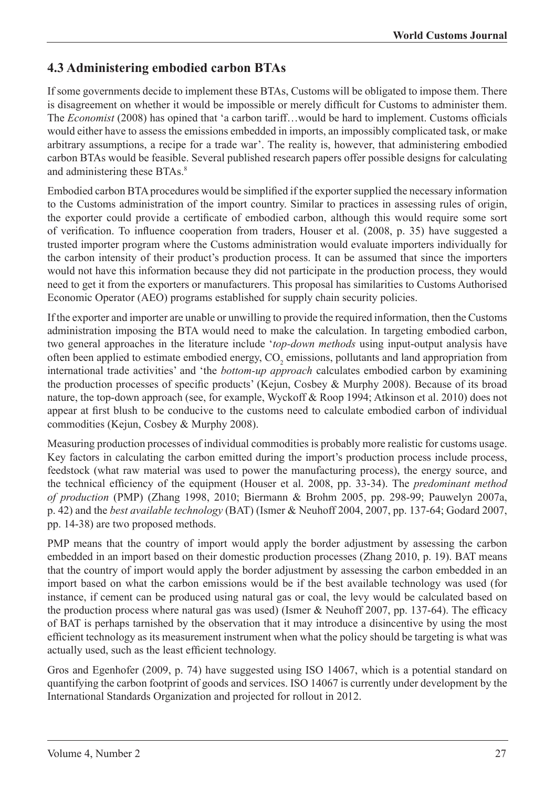#### **4.3 Administering embodied carbon BTAs**

If some governments decide to implement these BTAs, Customs will be obligated to impose them. There is disagreement on whether it would be impossible or merely difficult for Customs to administer them. The *Economist* (2008) has opined that 'a carbon tariff…would be hard to implement. Customs officials would either have to assess the emissions embedded in imports, an impossibly complicated task, or make arbitrary assumptions, a recipe for a trade war'. The reality is, however, that administering embodied carbon BTAs would be feasible. Several published research papers offer possible designs for calculating and administering these BTAs.<sup>8</sup>

Embodied carbon BTA procedures would be simplified if the exporter supplied the necessary information to the Customs administration of the import country. Similar to practices in assessing rules of origin, the exporter could provide a certificate of embodied carbon, although this would require some sort of verification. To influence cooperation from traders, Houser et al. (2008, p. 35) have suggested a trusted importer program where the Customs administration would evaluate importers individually for the carbon intensity of their product's production process. It can be assumed that since the importers would not have this information because they did not participate in the production process, they would need to get it from the exporters or manufacturers. This proposal has similarities to Customs Authorised Economic Operator (AEO) programs established for supply chain security policies.

If the exporter and importer are unable or unwilling to provide the required information, then the Customs administration imposing the BTA would need to make the calculation. In targeting embodied carbon, two general approaches in the literature include '*top-down methods* using input-output analysis have often been applied to estimate embodied energy,  $CO_2$  emissions, pollutants and land appropriation from international trade activities' and 'the *bottom-up approach* calculates embodied carbon by examining the production processes of specific products' (Kejun, Cosbey & Murphy 2008). Because of its broad nature, the top-down approach (see, for example, Wyckoff & Roop 1994; Atkinson et al. 2010) does not appear at first blush to be conducive to the customs need to calculate embodied carbon of individual commodities (Kejun, Cosbey & Murphy 2008).

Measuring production processes of individual commodities is probably more realistic for customs usage. Key factors in calculating the carbon emitted during the import's production process include process, feedstock (what raw material was used to power the manufacturing process), the energy source, and the technical efficiency of the equipment (Houser et al. 2008, pp. 33-34). The *predominant method of production* (PMP) (Zhang 1998, 2010; Biermann & Brohm 2005, pp. 298-99; Pauwelyn 2007a, p. 42) and the *best available technology* (BAT) (Ismer & Neuhoff 2004, 2007, pp. 137-64; Godard 2007, pp. 14-38) are two proposed methods.

PMP means that the country of import would apply the border adjustment by assessing the carbon embedded in an import based on their domestic production processes (Zhang 2010, p. 19). BAT means that the country of import would apply the border adjustment by assessing the carbon embedded in an import based on what the carbon emissions would be if the best available technology was used (for instance, if cement can be produced using natural gas or coal, the levy would be calculated based on the production process where natural gas was used) (Ismer & Neuhoff 2007, pp. 137-64). The efficacy of BAT is perhaps tarnished by the observation that it may introduce a disincentive by using the most efficient technology as its measurement instrument when what the policy should be targeting is what was actually used, such as the least efficient technology.

Gros and Egenhofer (2009, p. 74) have suggested using ISO 14067, which is a potential standard on quantifying the carbon footprint of goods and services. ISO 14067 is currently under development by the International Standards Organization and projected for rollout in 2012.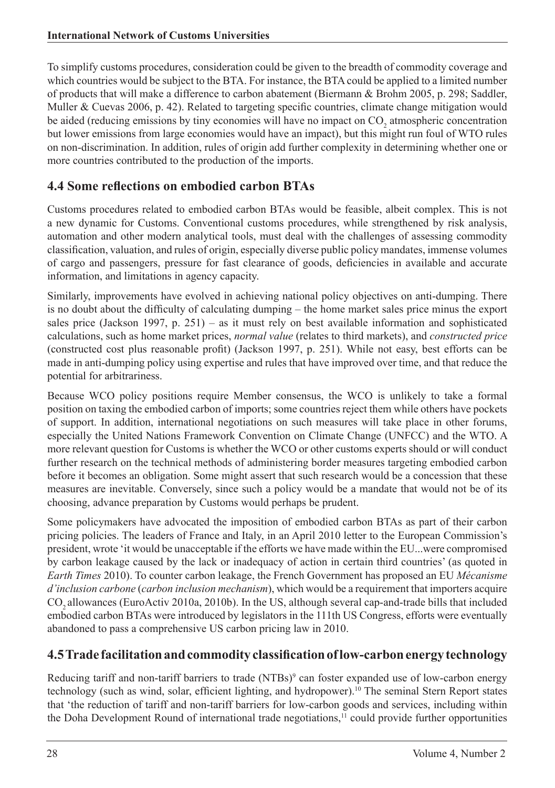To simplify customs procedures, consideration could be given to the breadth of commodity coverage and which countries would be subject to the BTA. For instance, the BTA could be applied to a limited number of products that will make a difference to carbon abatement (Biermann & Brohm 2005, p. 298; Saddler, Muller & Cuevas 2006, p. 42). Related to targeting specific countries, climate change mitigation would be aided (reducing emissions by tiny economies will have no impact on  $CO_2$  atmospheric concentration but lower emissions from large economies would have an impact), but this might run foul of WTO rules on non-discrimination. In addition, rules of origin add further complexity in determining whether one or more countries contributed to the production of the imports.

#### **4.4 Some reflections on embodied carbon BTAs**

Customs procedures related to embodied carbon BTAs would be feasible, albeit complex. This is not a new dynamic for Customs. Conventional customs procedures, while strengthened by risk analysis, automation and other modern analytical tools, must deal with the challenges of assessing commodity classification, valuation, and rules of origin, especially diverse public policy mandates, immense volumes of cargo and passengers, pressure for fast clearance of goods, deficiencies in available and accurate information, and limitations in agency capacity.

Similarly, improvements have evolved in achieving national policy objectives on anti-dumping. There is no doubt about the difficulty of calculating dumping – the home market sales price minus the export sales price (Jackson 1997, p. 251) – as it must rely on best available information and sophisticated calculations, such as home market prices, *normal value* (relates to third markets), and *constructed price* (constructed cost plus reasonable profit) (Jackson 1997, p. 251). While not easy, best efforts can be made in anti-dumping policy using expertise and rules that have improved over time, and that reduce the potential for arbitrariness.

Because WCO policy positions require Member consensus, the WCO is unlikely to take a formal position on taxing the embodied carbon of imports; some countries reject them while others have pockets of support. In addition, international negotiations on such measures will take place in other forums, especially the United Nations Framework Convention on Climate Change (UNFCC) and the WTO. A more relevant question for Customs is whether the WCO or other customs experts should or will conduct further research on the technical methods of administering border measures targeting embodied carbon before it becomes an obligation. Some might assert that such research would be a concession that these measures are inevitable. Conversely, since such a policy would be a mandate that would not be of its choosing, advance preparation by Customs would perhaps be prudent.

Some policymakers have advocated the imposition of embodied carbon BTAs as part of their carbon pricing policies. The leaders of France and Italy, in an April 2010 letter to the European Commission's president, wrote 'it would be unacceptable if the efforts we have made within the EU...were compromised by carbon leakage caused by the lack or inadequacy of action in certain third countries' (as quoted in *Earth Times* 2010). To counter carbon leakage, the French Government has proposed an EU *Mécanisme d'inclusion carbone* (*carbon inclusion mechanism*), which would be a requirement that importers acquire CO2 allowances (EuroActiv 2010a, 2010b). In the US, although several cap-and-trade bills that included embodied carbon BTAs were introduced by legislators in the 111th US Congress, efforts were eventually abandoned to pass a comprehensive US carbon pricing law in 2010.

#### **4.5 Trade facilitation and commodity classification of low-carbon energy technology**

Reducing tariff and non-tariff barriers to trade (NTBs)<sup>9</sup> can foster expanded use of low-carbon energy technology (such as wind, solar, efficient lighting, and hydropower).10 The seminal Stern Report states that 'the reduction of tariff and non-tariff barriers for low-carbon goods and services, including within the Doha Development Round of international trade negotiations,<sup>11</sup> could provide further opportunities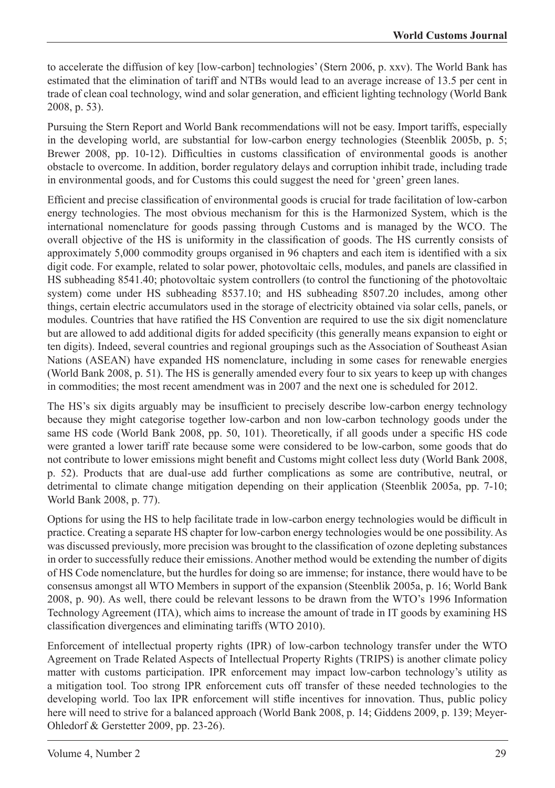to accelerate the diffusion of key [low-carbon] technologies' (Stern 2006, p. xxv). The World Bank has estimated that the elimination of tariff and NTBs would lead to an average increase of 13.5 per cent in trade of clean coal technology, wind and solar generation, and efficient lighting technology (World Bank 2008, p. 53).

Pursuing the Stern Report and World Bank recommendations will not be easy. Import tariffs, especially in the developing world, are substantial for low-carbon energy technologies (Steenblik 2005b, p. 5; Brewer 2008, pp. 10-12). Difficulties in customs classification of environmental goods is another obstacle to overcome. In addition, border regulatory delays and corruption inhibit trade, including trade in environmental goods, and for Customs this could suggest the need for 'green' green lanes.

Efficient and precise classification of environmental goods is crucial for trade facilitation of low-carbon energy technologies. The most obvious mechanism for this is the Harmonized System, which is the international nomenclature for goods passing through Customs and is managed by the WCO. The overall objective of the HS is uniformity in the classification of goods. The HS currently consists of approximately 5,000 commodity groups organised in 96 chapters and each item is identified with a six digit code. For example, related to solar power, photovoltaic cells, modules, and panels are classified in HS subheading 8541.40; photovoltaic system controllers (to control the functioning of the photovoltaic system) come under HS subheading 8537.10; and HS subheading 8507.20 includes, among other things, certain electric accumulators used in the storage of electricity obtained via solar cells, panels, or modules. Countries that have ratified the HS Convention are required to use the six digit nomenclature but are allowed to add additional digits for added specificity (this generally means expansion to eight or ten digits). Indeed, several countries and regional groupings such as the Association of Southeast Asian Nations (ASEAN) have expanded HS nomenclature, including in some cases for renewable energies (World Bank 2008, p. 51). The HS is generally amended every four to six years to keep up with changes in commodities; the most recent amendment was in 2007 and the next one is scheduled for 2012.

The HS's six digits arguably may be insufficient to precisely describe low-carbon energy technology because they might categorise together low-carbon and non low-carbon technology goods under the same HS code (World Bank 2008, pp. 50, 101). Theoretically, if all goods under a specific HS code were granted a lower tariff rate because some were considered to be low-carbon, some goods that do not contribute to lower emissions might benefit and Customs might collect less duty (World Bank 2008, p. 52). Products that are dual-use add further complications as some are contributive, neutral, or detrimental to climate change mitigation depending on their application (Steenblik 2005a, pp. 7-10; World Bank 2008, p. 77).

Options for using the HS to help facilitate trade in low-carbon energy technologies would be difficult in practice. Creating a separate HS chapter for low-carbon energy technologies would be one possibility. As was discussed previously, more precision was brought to the classification of ozone depleting substances in order to successfully reduce their emissions. Another method would be extending the number of digits of HS Code nomenclature, but the hurdles for doing so are immense; for instance, there would have to be consensus amongst all WTO Members in support of the expansion (Steenblik 2005a, p. 16; World Bank 2008, p. 90). As well, there could be relevant lessons to be drawn from the WTO's 1996 Information Technology Agreement (ITA), which aims to increase the amount of trade in IT goods by examining HS classification divergences and eliminating tariffs (WTO 2010).

Enforcement of intellectual property rights (IPR) of low-carbon technology transfer under the WTO Agreement on Trade Related Aspects of Intellectual Property Rights (TRIPS) is another climate policy matter with customs participation. IPR enforcement may impact low-carbon technology's utility as a mitigation tool. Too strong IPR enforcement cuts off transfer of these needed technologies to the developing world. Too lax IPR enforcement will stifle incentives for innovation. Thus, public policy here will need to strive for a balanced approach (World Bank 2008, p. 14; Giddens 2009, p. 139; Meyer-Ohledorf & Gerstetter 2009, pp. 23-26).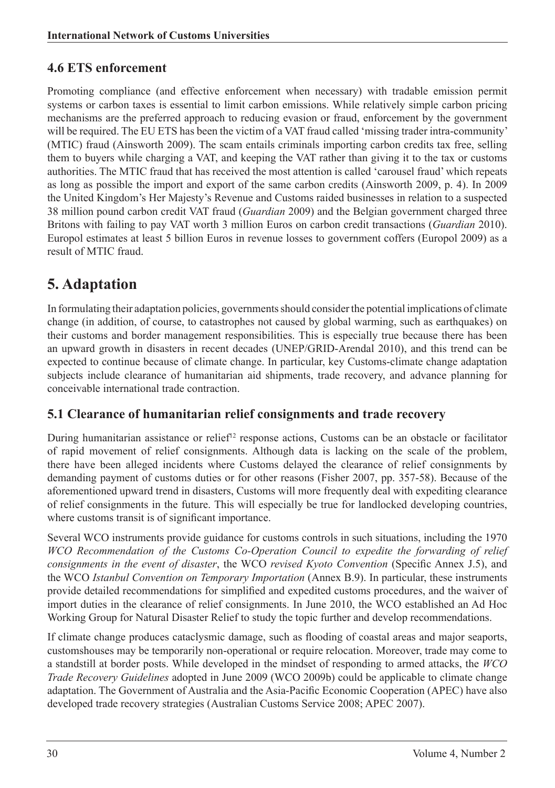#### **4.6 ETS enforcement**

Promoting compliance (and effective enforcement when necessary) with tradable emission permit systems or carbon taxes is essential to limit carbon emissions. While relatively simple carbon pricing mechanisms are the preferred approach to reducing evasion or fraud, enforcement by the government will be required. The EU ETS has been the victim of a VAT fraud called 'missing trader intra-community' (MTIC) fraud (Ainsworth 2009). The scam entails criminals importing carbon credits tax free, selling them to buyers while charging a VAT, and keeping the VAT rather than giving it to the tax or customs authorities. The MTIC fraud that has received the most attention is called 'carousel fraud' which repeats as long as possible the import and export of the same carbon credits (Ainsworth 2009, p. 4). In 2009 the United Kingdom's Her Majesty's Revenue and Customs raided businesses in relation to a suspected 38 million pound carbon credit VAT fraud (*Guardian* 2009) and the Belgian government charged three Britons with failing to pay VAT worth 3 million Euros on carbon credit transactions (*Guardian* 2010). Europol estimates at least 5 billion Euros in revenue losses to government coffers (Europol 2009) as a result of MTIC fraud.

# **5. Adaptation**

In formulating their adaptation policies, governments should consider the potential implications of climate change (in addition, of course, to catastrophes not caused by global warming, such as earthquakes) on their customs and border management responsibilities. This is especially true because there has been an upward growth in disasters in recent decades (UNEP/GRID-Arendal 2010), and this trend can be expected to continue because of climate change. In particular, key Customs-climate change adaptation subjects include clearance of humanitarian aid shipments, trade recovery, and advance planning for conceivable international trade contraction.

#### **5.1 Clearance of humanitarian relief consignments and trade recovery**

During humanitarian assistance or relief<sup>12</sup> response actions, Customs can be an obstacle or facilitator of rapid movement of relief consignments. Although data is lacking on the scale of the problem, there have been alleged incidents where Customs delayed the clearance of relief consignments by demanding payment of customs duties or for other reasons (Fisher 2007, pp. 357-58). Because of the aforementioned upward trend in disasters, Customs will more frequently deal with expediting clearance of relief consignments in the future. This will especially be true for landlocked developing countries, where customs transit is of significant importance.

Several WCO instruments provide guidance for customs controls in such situations, including the 1970 WCO Recommendation of the Customs Co-Operation Council to expedite the forwarding of relief *consignments in the event of disaster*, the WCO *revised Kyoto Convention* (Specific Annex J.5), and the WCO *Istanbul Convention on Temporary Importation* (Annex B.9). In particular, these instruments provide detailed recommendations for simplified and expedited customs procedures, and the waiver of import duties in the clearance of relief consignments. In June 2010, the WCO established an Ad Hoc Working Group for Natural Disaster Relief to study the topic further and develop recommendations.

If climate change produces cataclysmic damage, such as flooding of coastal areas and major seaports, customshouses may be temporarily non-operational or require relocation. Moreover, trade may come to a standstill at border posts. While developed in the mindset of responding to armed attacks, the *WCO Trade Recovery Guidelines* adopted in June 2009 (WCO 2009b) could be applicable to climate change adaptation. The Government of Australia and the Asia-Pacific Economic Cooperation (APEC) have also developed trade recovery strategies (Australian Customs Service 2008; APEC 2007).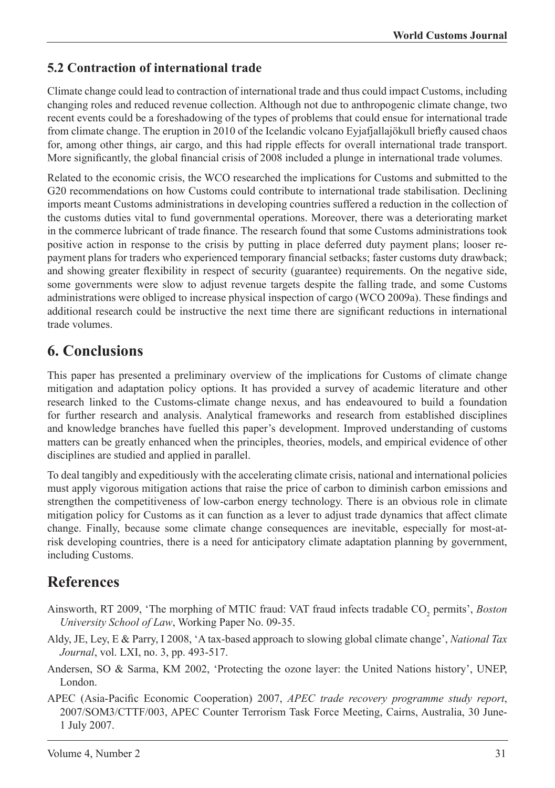#### **5.2 Contraction of international trade**

Climate change could lead to contraction of international trade and thus could impact Customs, including changing roles and reduced revenue collection. Although not due to anthropogenic climate change, two recent events could be a foreshadowing of the types of problems that could ensue for international trade from climate change. The eruption in 2010 of the Icelandic volcano Eyjafjallajökull briefly caused chaos for, among other things, air cargo, and this had ripple effects for overall international trade transport. More significantly, the global financial crisis of 2008 included a plunge in international trade volumes.

Related to the economic crisis, the WCO researched the implications for Customs and submitted to the G20 recommendations on how Customs could contribute to international trade stabilisation. Declining imports meant Customs administrations in developing countries suffered a reduction in the collection of the customs duties vital to fund governmental operations. Moreover, there was a deteriorating market in the commerce lubricant of trade finance. The research found that some Customs administrations took positive action in response to the crisis by putting in place deferred duty payment plans; looser repayment plans for traders who experienced temporary financial setbacks; faster customs duty drawback; and showing greater flexibility in respect of security (guarantee) requirements. On the negative side, some governments were slow to adjust revenue targets despite the falling trade, and some Customs administrations were obliged to increase physical inspection of cargo (WCO 2009a). These findings and additional research could be instructive the next time there are significant reductions in international trade volumes.

#### **6. Conclusions**

This paper has presented a preliminary overview of the implications for Customs of climate change mitigation and adaptation policy options. It has provided a survey of academic literature and other research linked to the Customs-climate change nexus, and has endeavoured to build a foundation for further research and analysis. Analytical frameworks and research from established disciplines and knowledge branches have fuelled this paper's development. Improved understanding of customs matters can be greatly enhanced when the principles, theories, models, and empirical evidence of other disciplines are studied and applied in parallel.

To deal tangibly and expeditiously with the accelerating climate crisis, national and international policies must apply vigorous mitigation actions that raise the price of carbon to diminish carbon emissions and strengthen the competitiveness of low-carbon energy technology. There is an obvious role in climate mitigation policy for Customs as it can function as a lever to adjust trade dynamics that affect climate change. Finally, because some climate change consequences are inevitable, especially for most-atrisk developing countries, there is a need for anticipatory climate adaptation planning by government, including Customs.

#### **References**

- Ainsworth, RT 2009, 'The morphing of MTIC fraud: VAT fraud infects tradable CO<sub>2</sub> permits', *Boston University School of Law*, Working Paper No. 09-35.
- Aldy, JE, Ley, E & Parry, I 2008, 'A tax-based approach to slowing global climate change', *National Tax Journal*, vol. LXI, no. 3, pp. 493-517.
- Andersen, SO & Sarma, KM 2002, 'Protecting the ozone layer: the United Nations history', UNEP, London.
- APEC (Asia-Pacific Economic Cooperation) 2007, *APEC trade recovery programme study report*, 2007/SOM3/CTTF/003, APEC Counter Terrorism Task Force Meeting, Cairns, Australia, 30 June-1 July 2007.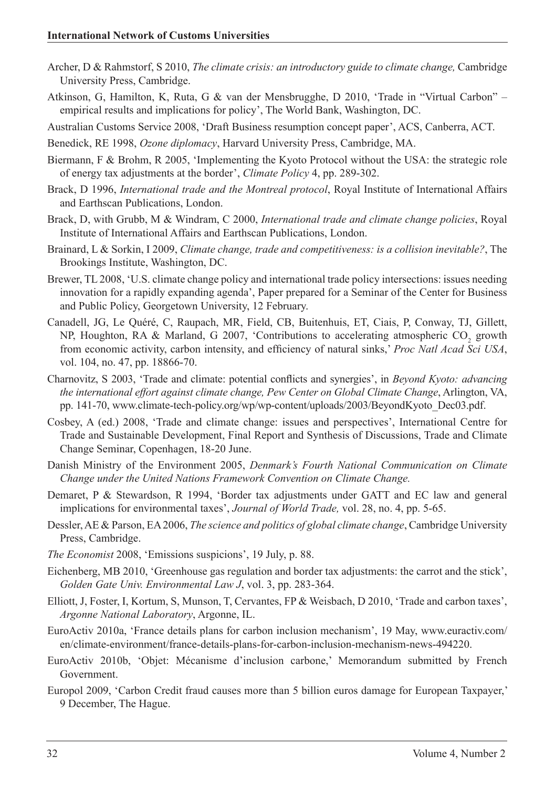- Archer, D & Rahmstorf, S 2010, *The climate crisis: an introductory guide to climate change,* Cambridge University Press, Cambridge.
- Atkinson, G, Hamilton, K, Ruta, G & van der Mensbrugghe, D 2010, 'Trade in "Virtual Carbon" empirical results and implications for policy', The World Bank, Washington, DC.

Australian Customs Service 2008, 'Draft Business resumption concept paper', ACS, Canberra, ACT.

- Benedick, RE 1998, *Ozone diplomacy*, Harvard University Press, Cambridge, MA.
- Biermann, F & Brohm, R 2005, 'Implementing the Kyoto Protocol without the USA: the strategic role of energy tax adjustments at the border', *Climate Policy* 4, pp. 289-302.
- Brack, D 1996, *International trade and the Montreal protocol*, Royal Institute of International Affairs and Earthscan Publications, London.
- Brack, D, with Grubb, M & Windram, C 2000, *International trade and climate change policies*, Royal Institute of International Affairs and Earthscan Publications, London.
- Brainard, L & Sorkin, I 2009, *Climate change, trade and competitiveness: is a collision inevitable?*, The Brookings Institute, Washington, DC.
- Brewer, TL 2008, 'U.S. climate change policy and international trade policy intersections: issues needing innovation for a rapidly expanding agenda', Paper prepared for a Seminar of the Center for Business and Public Policy, Georgetown University, 12 February.
- Canadell, JG, Le Quéré, C, Raupach, MR, Field, CB, Buitenhuis, ET, Ciais, P, Conway, TJ, Gillett, NP, Houghton, RA & Marland, G 2007, 'Contributions to accelerating atmospheric  $CO_2$  growth from economic activity, carbon intensity, and efficiency of natural sinks,' *Proc Natl Acad Sci USA*, vol. 104, no. 47, pp. 18866-70.
- Charnovitz, S 2003, 'Trade and climate: potential conflicts and synergies', in *Beyond Kyoto: advancing the international effort against climate change, Pew Center on Global Climate Change*, Arlington, VA, pp. 141-70, www.climate-tech-policy.org/wp/wp-content/uploads/2003/BeyondKyoto\_Dec03.pdf.
- Cosbey, A (ed.) 2008, 'Trade and climate change: issues and perspectives', International Centre for Trade and Sustainable Development, Final Report and Synthesis of Discussions, Trade and Climate Change Seminar, Copenhagen, 18-20 June.
- Danish Ministry of the Environment 2005, *Denmark's Fourth National Communication on Climate Change under the United Nations Framework Convention on Climate Change.*
- Demaret, P & Stewardson, R 1994, 'Border tax adjustments under GATT and EC law and general implications for environmental taxes', *Journal of World Trade,* vol. 28, no. 4, pp. 5-65.
- Dessler, AE & Parson, EA 2006, *The science and politics of global climate change*, Cambridge University Press, Cambridge.
- *The Economist* 2008, 'Emissions suspicions', 19 July, p. 88.
- Eichenberg, MB 2010, 'Greenhouse gas regulation and border tax adjustments: the carrot and the stick', *Golden Gate Univ. Environmental Law J*, vol. 3, pp. 283-364.
- Elliott, J, Foster, I, Kortum, S, Munson, T, Cervantes, FP & Weisbach, D 2010, 'Trade and carbon taxes', *Argonne National Laboratory*, Argonne, IL.
- EuroActiv 2010a, 'France details plans for carbon inclusion mechanism', 19 May, www.euractiv.com/ en/climate-environment/france-details-plans-for-carbon-inclusion-mechanism-news-494220.
- EuroActiv 2010b, 'Objet: Mécanisme d'inclusion carbone,' Memorandum submitted by French Government.
- Europol 2009, 'Carbon Credit fraud causes more than 5 billion euros damage for European Taxpayer,' 9 December, The Hague.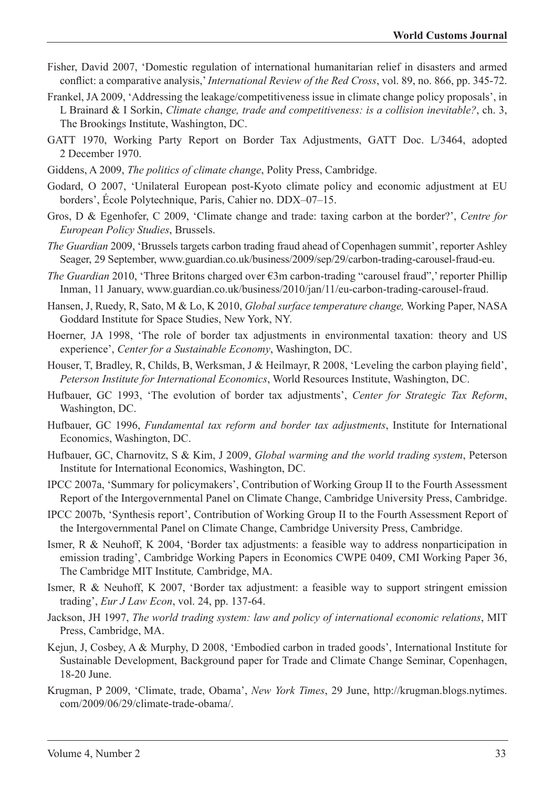- Fisher, David 2007, 'Domestic regulation of international humanitarian relief in disasters and armed conflict: a comparative analysis,' *International Review of the Red Cross*, vol. 89, no. 866, pp. 345-72.
- Frankel, JA 2009, 'Addressing the leakage/competitiveness issue in climate change policy proposals', in L Brainard & I Sorkin, *Climate change, trade and competitiveness: is a collision inevitable?*, ch. 3, The Brookings Institute, Washington, DC.
- GATT 1970, Working Party Report on Border Tax Adjustments, GATT Doc. L/3464, adopted 2 December 1970.
- Giddens, A 2009, *The politics of climate change*, Polity Press, Cambridge.
- Godard, O 2007, 'Unilateral European post-Kyoto climate policy and economic adjustment at EU borders', École Polytechnique, Paris, Cahier no. DDX–07–15.
- Gros, D & Egenhofer, C 2009, 'Climate change and trade: taxing carbon at the border?', *Centre for European Policy Studies*, Brussels.
- *The Guardian* 2009, 'Brussels targets carbon trading fraud ahead of Copenhagen summit', reporter Ashley Seager, 29 September, www.guardian.co.uk/business/2009/sep/29/carbon-trading-carousel-fraud-eu.
- *The Guardian* 2010, 'Three Britons charged over €3m carbon-trading "carousel fraud",' reporter Phillip Inman, 11 January, www.guardian.co.uk/business/2010/jan/11/eu-carbon-trading-carousel-fraud.
- Hansen, J, Ruedy, R, Sato, M & Lo, K 2010, *Global surface temperature change,* Working Paper, NASA Goddard Institute for Space Studies, New York, NY.
- Hoerner, JA 1998, 'The role of border tax adjustments in environmental taxation: theory and US experience', *Center for a Sustainable Economy*, Washington, DC.
- Houser, T, Bradley, R, Childs, B, Werksman, J & Heilmayr, R 2008, 'Leveling the carbon playing field', *Peterson Institute for International Economics*, World Resources Institute, Washington, DC.
- Hufbauer, GC 1993, 'The evolution of border tax adjustments', *Center for Strategic Tax Reform*, Washington, DC.
- Hufbauer, GC 1996, *Fundamental tax reform and border tax adjustments*, Institute for International Economics, Washington, DC.
- Hufbauer, GC, Charnovitz, S & Kim, J 2009, *Global warming and the world trading system*, Peterson Institute for International Economics, Washington, DC.
- IPCC 2007a, 'Summary for policymakers', Contribution of Working Group II to the Fourth Assessment Report of the Intergovernmental Panel on Climate Change, Cambridge University Press, Cambridge.
- IPCC 2007b, 'Synthesis report', Contribution of Working Group II to the Fourth Assessment Report of the Intergovernmental Panel on Climate Change, Cambridge University Press, Cambridge.
- Ismer, R & Neuhoff, K 2004, 'Border tax adjustments: a feasible way to address nonparticipation in emission trading', Cambridge Working Papers in Economics CWPE 0409, CMI Working Paper 36, The Cambridge MIT Institute*,* Cambridge, MA.
- Ismer, R & Neuhoff, K 2007, 'Border tax adjustment: a feasible way to support stringent emission trading', *Eur J Law Econ*, vol. 24, pp. 137-64.
- Jackson, JH 1997, *The world trading system: law and policy of international economic relations*, MIT Press, Cambridge, MA.
- Kejun, J, Cosbey, A & Murphy, D 2008, 'Embodied carbon in traded goods', International Institute for Sustainable Development, Background paper for Trade and Climate Change Seminar, Copenhagen, 18-20 June.
- Krugman, P 2009, 'Climate, trade, Obama', *New York Times*, 29 June, http://krugman.blogs.nytimes. com/2009/06/29/climate-trade-obama/.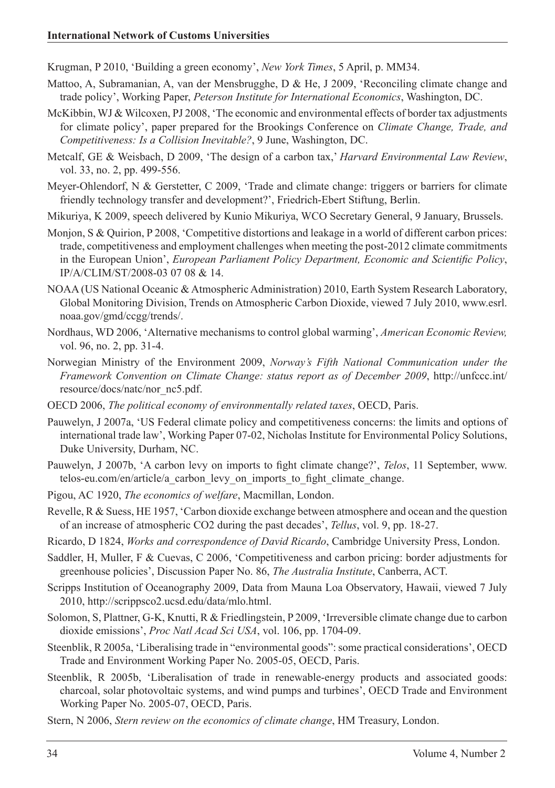Krugman, P 2010, 'Building a green economy', *New York Times*, 5 April, p. MM34.

- Mattoo, A, Subramanian, A, van der Mensbrugghe, D & He, J 2009, 'Reconciling climate change and trade policy', Working Paper, *Peterson Institute for International Economics*, Washington, DC.
- McKibbin, WJ & Wilcoxen, PJ 2008, 'The economic and environmental effects of border tax adjustments for climate policy', paper prepared for the Brookings Conference on *Climate Change, Trade, and Competitiveness: Is a Collision Inevitable?*, 9 June, Washington, DC.
- Metcalf, GE & Weisbach, D 2009, 'The design of a carbon tax,' *Harvard Environmental Law Review*, vol. 33, no. 2, pp. 499-556.
- Meyer-Ohlendorf, N & Gerstetter, C 2009, 'Trade and climate change: triggers or barriers for climate friendly technology transfer and development?', Friedrich-Ebert Stiftung, Berlin.
- Mikuriya, K 2009, speech delivered by Kunio Mikuriya, WCO Secretary General, 9 January, Brussels.
- Monjon, S & Quirion, P 2008, 'Competitive distortions and leakage in a world of different carbon prices: trade, competitiveness and employment challenges when meeting the post-2012 climate commitments in the European Union', *European Parliament Policy Department, Economic and Scientific Policy*, IP/A/CLIM/ST/2008-03 07 08 & 14.
- NOAA (US National Oceanic & Atmospheric Administration) 2010, Earth System Research Laboratory, Global Monitoring Division, Trends on Atmospheric Carbon Dioxide, viewed 7 July 2010, www.esrl. noaa.gov/gmd/ccgg/trends/.
- Nordhaus, WD 2006, 'Alternative mechanisms to control global warming', *American Economic Review,* vol. 96, no. 2, pp. 31-4.
- Norwegian Ministry of the Environment 2009, *Norway's Fifth National Communication under the Framework Convention on Climate Change: status report as of December 2009*, http://unfccc.int/ resource/docs/natc/nor\_nc5.pdf.
- OECD 2006, *The political economy of environmentally related taxes*, OECD, Paris.
- Pauwelyn, J 2007a, 'US Federal climate policy and competitiveness concerns: the limits and options of international trade law', Working Paper 07-02, Nicholas Institute for Environmental Policy Solutions, Duke University, Durham, NC.
- Pauwelyn, J 2007b, 'A carbon levy on imports to fight climate change?', *Telos*, 11 September, www. telos-eu.com/en/article/a\_carbon\_levy\_on\_imports\_to\_fight\_climate\_change.
- Pigou, AC 1920, *The economics of welfare*, Macmillan, London.
- Revelle, R & Suess, HE 1957, 'Carbon dioxide exchange between atmosphere and ocean and the question of an increase of atmospheric CO2 during the past decades', *Tellus*, vol. 9, pp. 18-27.
- Ricardo, D 1824, *Works and correspondence of David Ricardo*, Cambridge University Press, London.
- Saddler, H, Muller, F & Cuevas, C 2006, 'Competitiveness and carbon pricing: border adjustments for greenhouse policies', Discussion Paper No. 86, *The Australia Institute*, Canberra, ACT.
- Scripps Institution of Oceanography 2009, Data from Mauna Loa Observatory, Hawaii, viewed 7 July 2010, http://scrippsco2.ucsd.edu/data/mlo.html.
- Solomon, S, Plattner, G-K, Knutti, R & Friedlingstein, P 2009, 'Irreversible climate change due to carbon dioxide emissions', *Proc Natl Acad Sci USA*, vol. 106, pp. 1704-09.
- Steenblik, R 2005a, 'Liberalising trade in "environmental goods": some practical considerations', OECD Trade and Environment Working Paper No. 2005-05, OECD, Paris.
- Steenblik, R 2005b, 'Liberalisation of trade in renewable-energy products and associated goods: charcoal, solar photovoltaic systems, and wind pumps and turbines', OECD Trade and Environment Working Paper No. 2005-07, OECD, Paris.

Stern, N 2006, *Stern review on the economics of climate change*, HM Treasury, London.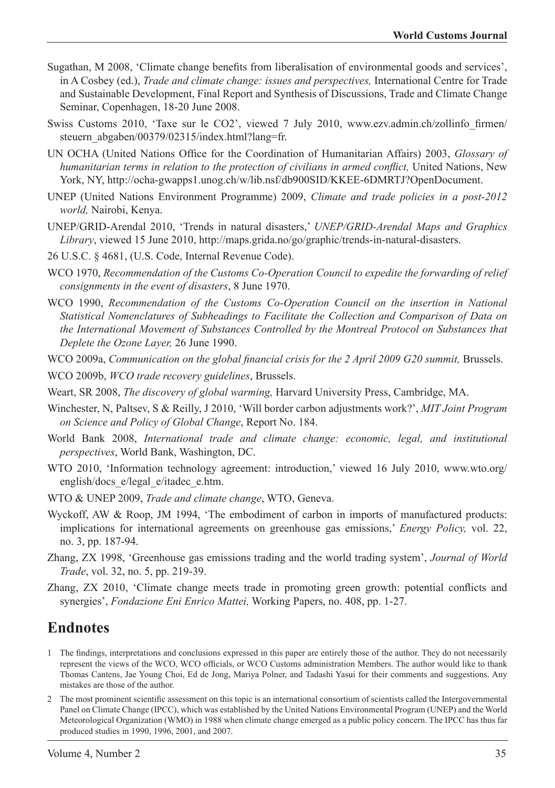- Sugathan, M 2008, 'Climate change benefits from liberalisation of environmental goods and services', in A Cosbey (ed.), *Trade and climate change: issues and perspectives,* International Centre for Trade and Sustainable Development, Final Report and Synthesis of Discussions, Trade and Climate Change Seminar, Copenhagen, 18-20 June 2008.
- Swiss Customs 2010, 'Taxe sur le CO2', viewed 7 July 2010, www.ezv.admin.ch/zollinfo\_firmen/ steuern\_abgaben/00379/02315/index.html?lang=fr.
- UN OCHA (United Nations Office for the Coordination of Humanitarian Affairs) 2003, *Glossary of humanitarian terms in relation to the protection of civilians in armed conflict,* United Nations, New York, NY, http://ocha-gwapps1.unog.ch/w/lib.nsf/db900SID/KKEE-6DMRTJ?OpenDocument.
- UNEP (United Nations Environment Programme) 2009, *Climate and trade policies in a post-2012 world,* Nairobi, Kenya.
- UNEP/GRID-Arendal 2010, 'Trends in natural disasters,' *UNEP/GRID-Arendal Maps and Graphics Library*, viewed 15 June 2010, http://maps.grida.no/go/graphic/trends-in-natural-disasters.
- 26 U.S.C. § 4681, (U.S. Code, Internal Revenue Code).
- WCO 1970, *Recommendation of the Customs Co-Operation Council to expedite the forwarding of relief consignments in the event of disasters*, 8 June 1970.
- WCO 1990, *Recommendation of the Customs Co-Operation Council on the insertion in National Statistical Nomenclatures of Subheadings to Facilitate the Collection and Comparison of Data on the International Movement of Substances Controlled by the Montreal Protocol on Substances that Deplete the Ozone Layer,* 26 June 1990.
- WCO 2009a, *Communication on the global financial crisis for the 2 April 2009 G20 summit,* Brussels.
- WCO 2009b, *WCO trade recovery guidelines*, Brussels.
- Weart, SR 2008, *The discovery of global warming,* Harvard University Press, Cambridge, MA.
- Winchester, N, Paltsev, S & Reilly, J 2010, 'Will border carbon adjustments work?', *MIT Joint Program on Science and Policy of Global Change*, Report No. 184.
- World Bank 2008, *International trade and climate change: economic, legal, and institutional perspectives*, World Bank, Washington, DC.
- WTO 2010, 'Information technology agreement: introduction,' viewed 16 July 2010, www.wto.org/ english/docs\_e/legal\_e/itadec\_e.htm.
- WTO & UNEP 2009, *Trade and climate change*, WTO, Geneva.
- Wyckoff, AW & Roop, JM 1994, 'The embodiment of carbon in imports of manufactured products: implications for international agreements on greenhouse gas emissions,' *Energy Policy,* vol. 22, no. 3, pp. 187-94.
- Zhang, ZX 1998, 'Greenhouse gas emissions trading and the world trading system', *Journal of World Trade*, vol. 32, no. 5, pp. 219-39.
- Zhang, ZX 2010, 'Climate change meets trade in promoting green growth: potential conflicts and synergies', *Fondazione Eni Enrico Mattei,* Working Papers, no. 408, pp. 1-27.

# **Endnotes**

- 1 The findings, interpretations and conclusions expressed in this paper are entirely those of the author. They do not necessarily represent the views of the WCO, WCO officials, or WCO Customs administration Members. The author would like to thank Thomas Cantens, Jae Young Choi, Ed de Jong, Mariya Polner, and Tadashi Yasui for their comments and suggestions. Any mistakes are those of the author.
- 2 The most prominent scientific assessment on this topic is an international consortium of scientists called the Intergovernmental Panel on Climate Change (IPCC), which was established by the United Nations Environmental Program (UNEP) and the World Meteorological Organization (WMO) in 1988 when climate change emerged as a public policy concern. The IPCC has thus far produced studies in 1990, 1996, 2001, and 2007.